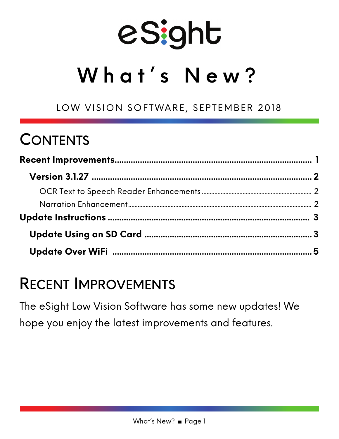# eSight

## **What's New?**

LOW VISION SOFTWARE, SEPTEMBER 2018

## **CONTENTS**

### RECENT IMPROVEMENTS

The eSight Low Vision Software has some new updates! We hope you enjoy the latest improvements and features.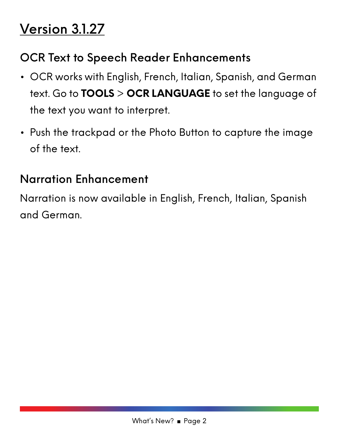## Version 3.1.27

#### OCR Text to Speech Reader Enhancements

- OCR works with English, French, Italian, Spanish, and German text. Go to **TOOLS** > **OCR LANGUAGE** to set the language of the text you want to interpret.
- Push the trackpad or the Photo Button to capture the image of the text.

#### Narration Enhancement

Narration is now available in English, French, Italian, Spanish and German.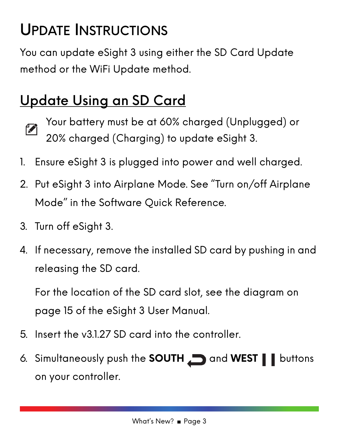## UPDATE INSTRUCTIONS

You can update eSight 3 using either the SD Card Update method or the WiFi Update method.

## Update Using an SD Card

- 
- Your battery must be at 60% charged (Unplugged) or 20% charged (Charging) to update eSight 3.
- 1. Ensure eSight 3 is plugged into power and well charged.
- 2. Put eSight 3 into Airplane Mode. See "Turn on/off Airplane Mode" in the Software Quick Reference.
- 3. Turn off eSight 3.
- 4. If necessary, remove the installed SD card by pushing in and releasing the SD card.

For the location of the SD card slot, see the diagram on page 15 of the eSight 3 User Manual.

- 5. Insert the v3.1.27 SD card into the controller.
- 6. Simultaneously push the **SOUTH** and **WEST buttons** on your controller.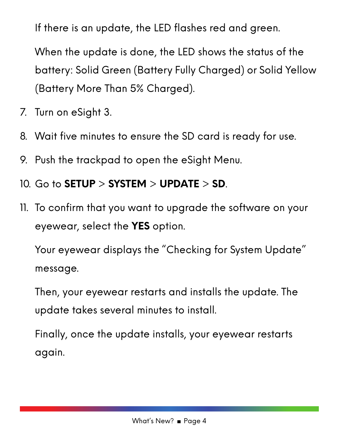If there is an update, the LED flashes red and green.

When the update is done, the LED shows the status of the battery: Solid Green (Battery Fully Charged) or Solid Yellow (Battery More Than 5% Charged).

- 7. Turn on eSight 3.
- 8. Wait five minutes to ensure the SD card is ready for use.
- 9. Push the trackpad to open the eSight Menu.
- 10. Go to **SETUP** > **SYSTEM** > **UPDATE** > **SD**.
- 11. To confirm that you want to upgrade the software on your eyewear, select the **YES** option.

Your eyewear displays the "Checking for System Update" message.

Then, your eyewear restarts and installs the update. The update takes several minutes to install.

Finally, once the update installs, your eyewear restarts again.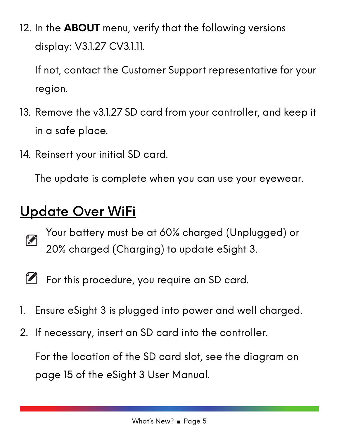12. In the **ABOUT** menu, verify that the following versions display: V3.1.27 CV3.1.11.

If not, contact the Customer Support representative for your region.

- 13. Remove the v3.1.27 SD card from your controller, and keep it in a safe place.
- 14. Reinsert your initial SD card.

The update is complete when you can use your eyewear.

#### Update Over WiFi

- T
- Your battery must be at 60% charged (Unplugged) or 20% charged (Charging) to update eSight 3.
- $\mathbb{Z}$
- For this procedure, you require an SD card.
- 1. Ensure eSight 3 is plugged into power and well charged.
- 2. If necessary, insert an SD card into the controller.

For the location of the SD card slot, see the diagram on page 15 of the eSight 3 User Manual.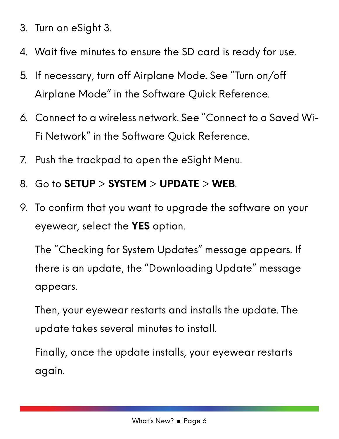- 3. Turn on eSight 3.
- 4. Wait five minutes to ensure the SD card is ready for use.
- 5. If necessary, turn off Airplane Mode. See "Turn on/off Airplane Mode" in the Software Quick Reference.
- 6. Connect to a wireless network. See "Connect to a Saved Wi-Fi Network" in the Software Quick Reference.
- 7. Push the trackpad to open the eSight Menu.
- 8. Go to **SETUP** > **SYSTEM** > **UPDATE** > **WEB**.
- 9. To confirm that you want to upgrade the software on your eyewear, select the **YES** option.

The "Checking for System Updates" message appears. If there is an update, the "Downloading Update" message appears.

Then, your eyewear restarts and installs the update. The update takes several minutes to install.

Finally, once the update installs, your eyewear restarts again.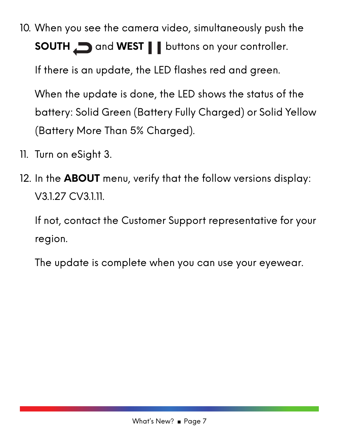10. When you see the camera video, simultaneously push the **SOUTH** and **WEST b**uttons on your controller.

If there is an update, the LED flashes red and green.

When the update is done, the LED shows the status of the battery: Solid Green (Battery Fully Charged) or Solid Yellow (Battery More Than 5% Charged).

- 11. Turn on eSight 3.
- 12. In the **ABOUT** menu, verify that the follow versions display: V3.1.27 CV3.1.11.

If not, contact the Customer Support representative for your region.

The update is complete when you can use your eyewear.